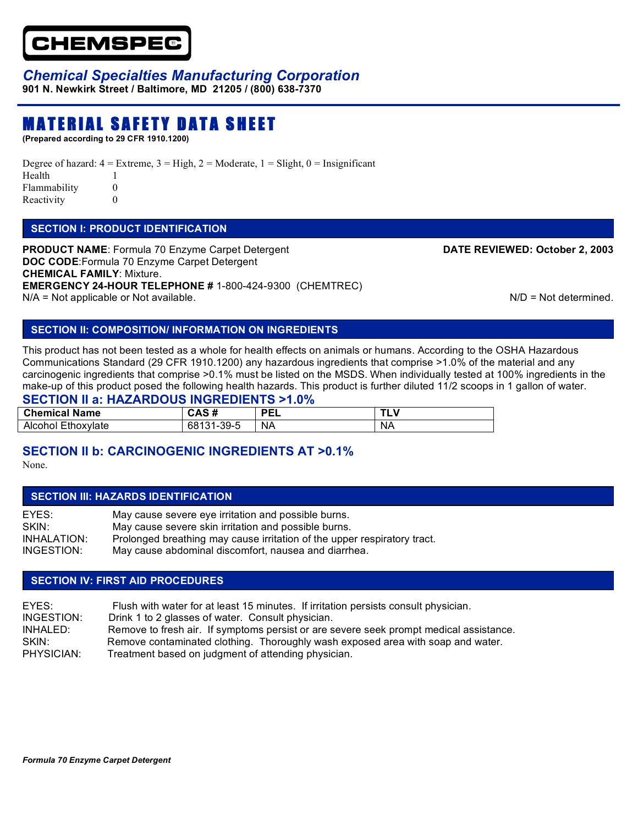

## *Chemical Specialties Manufacturing Corporation*

**901 N. Newkirk Street / Baltimore, MD 21205 / (800) 638-7370** 

# MATERIAL SAFETY DATA SHEET

**(Prepared according to 29 CFR 1910.1200)**

Degree of hazard:  $4 =$  Extreme,  $3 =$  High,  $2 =$  Moderate,  $1 =$  Slight,  $0 =$  Insignificant Health 1 Flammability 0 Reactivity 0

#### **SECTION I: PRODUCT IDENTIFICATION**

**PRODUCT NAME:** Formula 70 Enzyme Carpet Detergent **DATE REVIEWED: October 2, 2003 DOC CODE**:Formula 70 Enzyme Carpet Detergent **CHEMICAL FAMILY**: Mixture. **EMERGENCY 24-HOUR TELEPHONE #** 1-800-424-9300 (CHEMTREC)  $N/A$  = Not applicable or Not available.  $N/D$  = Not determined.

#### **SECTION II: COMPOSITION/ INFORMATION ON INGREDIENTS**

This product has not been tested as a whole for health effects on animals or humans. According to the OSHA Hazardous Communications Standard (29 CFR 1910.1200) any hazardous ingredients that comprise >1.0% of the material and any carcinogenic ingredients that comprise >0.1% must be listed on the MSDS. When individually tested at 100% ingredients in the make-up of this product posed the following health hazards. This product is further diluted 11/2 scoops in 1 gallon of water.

#### **SECTION II a: HAZARDOUS INGREDIENTS >1.0%**

| <b>Chemical Name</b> | $\sim$                | <b>DEI</b><br>┕┕ |           |
|----------------------|-----------------------|------------------|-----------|
| Alcohol Ethoxylate   | -39-5<br>68131<br>. . | <b>NA</b>        | <b>NA</b> |

## **SECTION II b: CARCINOGENIC INGREDIENTS AT >0.1%**

None.

#### **SECTION III: HAZARDS IDENTIFICATION**

| EYES:       | May cause severe eye irritation and possible burns.                      |
|-------------|--------------------------------------------------------------------------|
| SKIN:       | May cause severe skin irritation and possible burns.                     |
| INHALATION: | Prolonged breathing may cause irritation of the upper respiratory tract. |
| INGESTION:  | May cause abdominal discomfort, nausea and diarrhea.                     |

#### **SECTION IV: FIRST AID PROCEDURES**

| FYFS:      | Flush with water for at least 15 minutes. If irritation persists consult physician.    |
|------------|----------------------------------------------------------------------------------------|
| INGESTION: | Drink 1 to 2 glasses of water. Consult physician.                                      |
| INHALED:   | Remove to fresh air. If symptoms persist or are severe seek prompt medical assistance. |
| SKIN:      | Remove contaminated clothing. Thoroughly wash exposed area with soap and water.        |
| PHYSICIAN: | Treatment based on judgment of attending physician.                                    |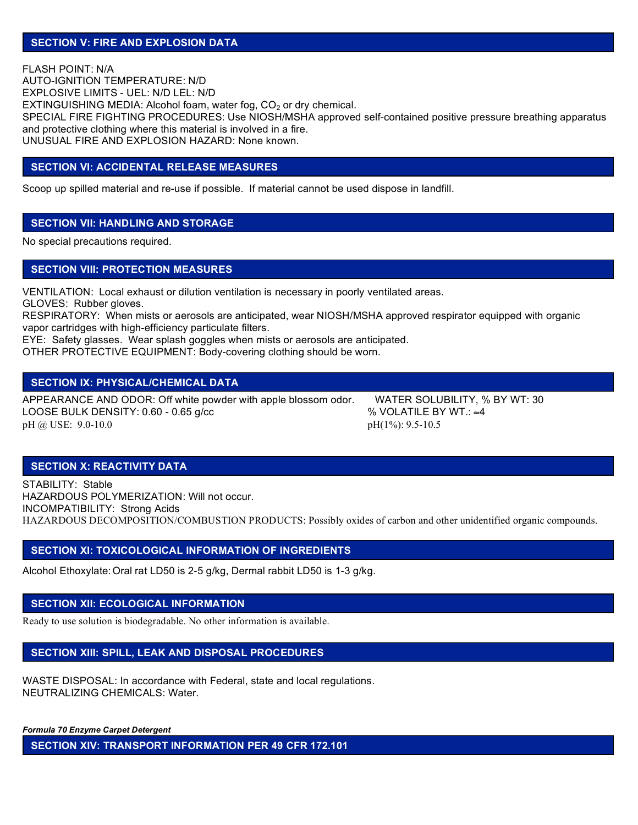FLASH POINT: N/A AUTO-IGNITION TEMPERATURE: N/D EXPLOSIVE LIMITS - UEL: N/D LEL: N/D EXTINGUISHING MEDIA: Alcohol foam, water fog,  $CO<sub>2</sub>$  or dry chemical. SPECIAL FIRE FIGHTING PROCEDURES: Use NIOSH/MSHA approved self-contained positive pressure breathing apparatus and protective clothing where this material is involved in a fire. UNUSUAL FIRE AND EXPLOSION HAZARD: None known.

#### **SECTION VI: ACCIDENTAL RELEASE MEASURES**

Scoop up spilled material and re-use if possible. If material cannot be used dispose in landfill.

#### **SECTION VII: HANDLING AND STORAGE**

No special precautions required.

#### **SECTION VIII: PROTECTION MEASURES**

VENTILATION: Local exhaust or dilution ventilation is necessary in poorly ventilated areas. GLOVES: Rubber gloves.

RESPIRATORY: When mists or aerosols are anticipated, wear NIOSH/MSHA approved respirator equipped with organic vapor cartridges with high-efficiency particulate filters.

EYE: Safety glasses. Wear splash goggles when mists or aerosols are anticipated.

OTHER PROTECTIVE EQUIPMENT: Body-covering clothing should be worn.

#### **SECTION IX: PHYSICAL/CHEMICAL DATA**

APPEARANCE AND ODOR: Off white powder with apple blossom odor. WATER SOLUBILITY, % BY WT: 30 LOOSE BULK DENSITY: 0.60 - 0.65 g/cc  $\%$  VOLATILE BY WT.:  $\approx$ 4 pH @ USE: 9.0-10.0 pH(1%): 9.5-10.5

#### **SECTION X: REACTIVITY DATA**

STABILITY: Stable HAZARDOUS POLYMERIZATION: Will not occur. INCOMPATIBILITY: Strong Acids HAZARDOUS DECOMPOSITION/COMBUSTION PRODUCTS: Possibly oxides of carbon and other unidentified organic compounds.

#### **SECTION XI: TOXICOLOGICAL INFORMATION OF INGREDIENTS**

Alcohol Ethoxylate: Oral rat LD50 is 2-5 g/kg, Dermal rabbit LD50 is 1-3 g/kg.

#### **SECTION XII: ECOLOGICAL INFORMATION**

Ready to use solution is biodegradable. No other information is available.

#### **SECTION XIII: SPILL, LEAK AND DISPOSAL PROCEDURES**

WASTE DISPOSAL: In accordance with Federal, state and local regulations. NEUTRALIZING CHEMICALS: Water.

*Formula 70 Enzyme Carpet Detergent*

Ī

**SECTION XIV: TRANSPORT INFORMATION PER 49 CFR 172.101**